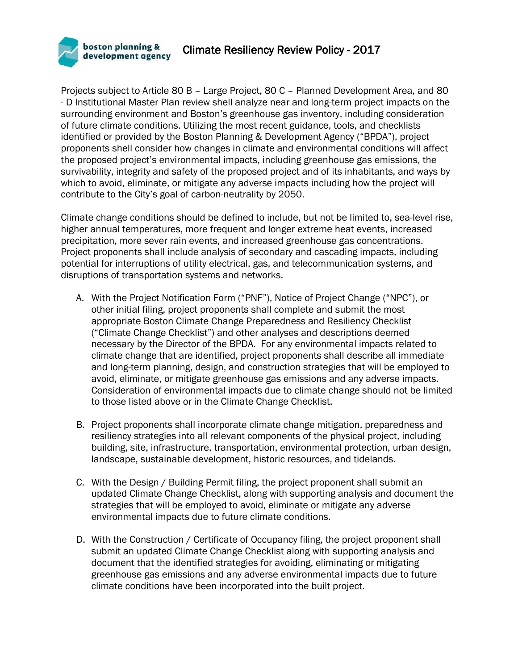

Projects subject to Article 80 B – Large Project, 80 C – Planned Development Area, and 80 - D Institutional Master Plan review shell analyze near and long-term project impacts on the surrounding environment and Boston's greenhouse gas inventory, including consideration of future climate conditions. Utilizing the most recent guidance, tools, and checklists identified or provided by the Boston Planning & Development Agency ("BPDA"), project proponents shell consider how changes in climate and environmental conditions will affect the proposed project's environmental impacts, including greenhouse gas emissions, the survivability, integrity and safety of the proposed project and of its inhabitants, and ways by which to avoid, eliminate, or mitigate any adverse impacts including how the project will contribute to the City's goal of carbon-neutrality by 2050.

Climate change conditions should be defined to include, but not be limited to, sea-level rise, higher annual temperatures, more frequent and longer extreme heat events, increased precipitation, more sever rain events, and increased greenhouse gas concentrations. Project proponents shall include analysis of secondary and cascading impacts, including potential for interruptions of utility electrical, gas, and telecommunication systems, and disruptions of transportation systems and networks.

- A. With the Project Notification Form ("PNF"), Notice of Project Change ("NPC"), or other initial filing, project proponents shall complete and submit the most appropriate Boston Climate Change Preparedness and Resiliency Checklist ("Climate Change Checklist") and other analyses and descriptions deemed necessary by the Director of the BPDA. For any environmental impacts related to climate change that are identified, project proponents shall describe all immediate and long-term planning, design, and construction strategies that will be employed to avoid, eliminate, or mitigate greenhouse gas emissions and any adverse impacts. Consideration of environmental impacts due to climate change should not be limited to those listed above or in the Climate Change Checklist.
- B. Project proponents shall incorporate climate change mitigation, preparedness and resiliency strategies into all relevant components of the physical project, including building, site, infrastructure, transportation, environmental protection, urban design, landscape, sustainable development, historic resources, and tidelands.
- C. With the Design / Building Permit filing, the project proponent shall submit an updated Climate Change Checklist, along with supporting analysis and document the strategies that will be employed to avoid, eliminate or mitigate any adverse environmental impacts due to future climate conditions.
- D. With the Construction / Certificate of Occupancy filing, the project proponent shall submit an updated Climate Change Checklist along with supporting analysis and document that the identified strategies for avoiding, eliminating or mitigating greenhouse gas emissions and any adverse environmental impacts due to future climate conditions have been incorporated into the built project.